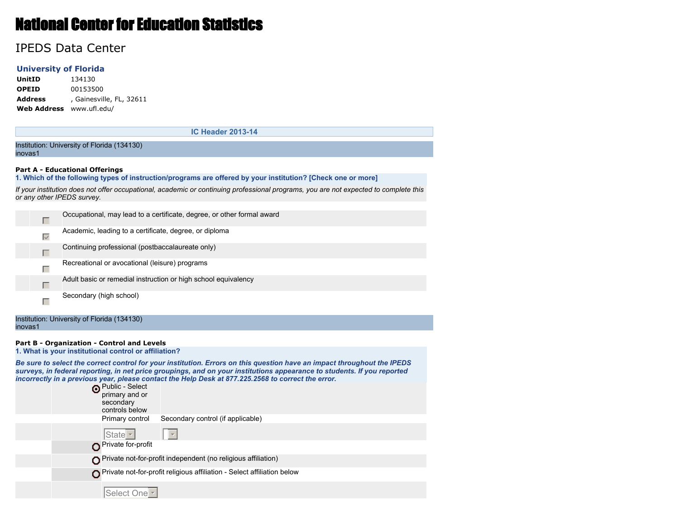# National Center for Education Statistics

# IPEDS Data Center

# **University of Florida**

**UnitID** 134130 **OPEID** 00153500 **Address** , Gainesville, FL, 32611 **Web Address** www.ufl.edu/

**IC Header 2013-14**

Institution: University of Florida (134130) inovas1

#### **Part A - Educational Offerings**

**1. Which of the following types of instruction/programs are offered by your institution? [Check one or more]**

*If your institution does not offer occupational, academic or continuing professional programs, you are not expected to complete this or any other IPEDS survey.*

|                   | Occupational, may lead to a certificate, degree, or other formal award |
|-------------------|------------------------------------------------------------------------|
| $\overline{\vee}$ | Academic, leading to a certificate, degree, or diploma                 |
|                   | Continuing professional (postbaccalaureate only)                       |
|                   | Recreational or avocational (leisure) programs                         |
| Г                 | Adult basic or remedial instruction or high school equivalency         |
|                   | Secondary (high school)                                                |

Institution: University of Florida (134130) inovas1

# **Part B - Organization - Control and Levels**

**1. What is your institutional control or affiliation?**

*Be sure to select the correct control for your institution. Errors on this question have an impact throughout the IPEDS surveys, in federal reporting, in net price groupings, and on your institutions appearance to students. If you reported incorrectly in a previous year, please contact the Help Desk at 877.225.2568 to correct the error.*

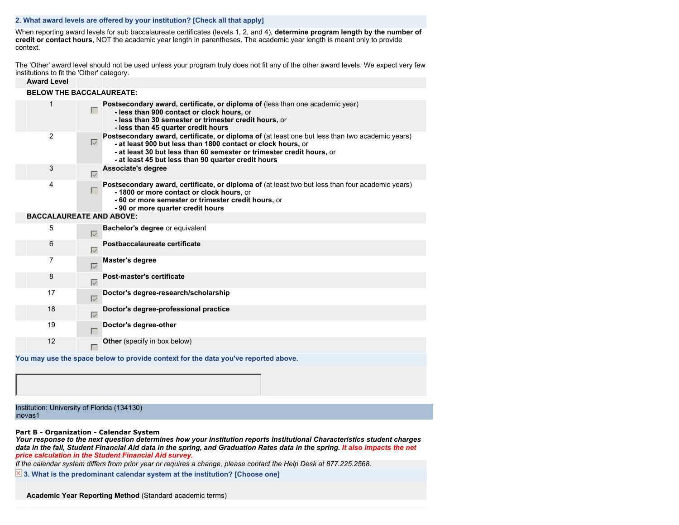# **2. What award levels are offered by your institution? [Check all that apply]**

When reporting award levels for sub baccalaureate certificates (levels 1, 2, and 4), **determine program length by the number of credit or contact hours**, NOT the academic year length in parentheses. The academic year length is meant only to provide context.

The 'Other' award level should not be used unless your program truly does not fit any of the other award levels. We expect very few institutions to fit the 'Other' category.

| <b>Award Level</b>              |                   |                                                                                                                                                                                                                                                                                                 |  |  |  |  |  |
|---------------------------------|-------------------|-------------------------------------------------------------------------------------------------------------------------------------------------------------------------------------------------------------------------------------------------------------------------------------------------|--|--|--|--|--|
| <b>BELOW THE BACCALAUREATE:</b> |                   |                                                                                                                                                                                                                                                                                                 |  |  |  |  |  |
| 1                               | п                 | Postsecondary award, certificate, or diploma of (less than one academic year)<br>- less than 900 contact or clock hours, or<br>- less than 30 semester or trimester credit hours, or<br>- less than 45 quarter credit hours                                                                     |  |  |  |  |  |
| $\overline{2}$                  | $\overline{\vee}$ | Postsecondary award, certificate, or diploma of (at least one but less than two academic years)<br>- at least 900 but less than 1800 contact or clock hours, or<br>- at least 30 but less than 60 semester or trimester credit hours, or<br>- at least 45 but less than 90 quarter credit hours |  |  |  |  |  |
| 3                               | ⊽                 | Associate's degree                                                                                                                                                                                                                                                                              |  |  |  |  |  |
| 4                               | п                 | Postsecondary award, certificate, or diploma of (at least two but less than four academic years)<br>-1800 or more contact or clock hours, or<br>- 60 or more semester or trimester credit hours, or<br>- 90 or more quarter credit hours                                                        |  |  |  |  |  |
| <b>BACCALAUREATE AND ABOVE:</b> |                   |                                                                                                                                                                                                                                                                                                 |  |  |  |  |  |
| 5                               | $\overline{\vee}$ | Bachelor's degree or equivalent                                                                                                                                                                                                                                                                 |  |  |  |  |  |
| 6                               | ⊽                 | Postbaccalaureate certificate                                                                                                                                                                                                                                                                   |  |  |  |  |  |
| 7                               | $\overline{\vee}$ | <b>Master's degree</b>                                                                                                                                                                                                                                                                          |  |  |  |  |  |
| 8                               | $\overline{\vee}$ | Post-master's certificate                                                                                                                                                                                                                                                                       |  |  |  |  |  |
| 17                              | $\overline{\vee}$ | Doctor's degree-research/scholarship                                                                                                                                                                                                                                                            |  |  |  |  |  |
| 18                              | $\overline{\vee}$ | Doctor's degree-professional practice                                                                                                                                                                                                                                                           |  |  |  |  |  |
| 19                              |                   | Doctor's degree-other                                                                                                                                                                                                                                                                           |  |  |  |  |  |
| 12                              |                   | <b>Other</b> (specify in box below)                                                                                                                                                                                                                                                             |  |  |  |  |  |
|                                 |                   | You may use the space below to provide context for the data you've reported above.                                                                                                                                                                                                              |  |  |  |  |  |

Institution: University of Florida (134130) inovas1

#### **Part B - Organization - Calendar System**

*Your response to the next question determines how your institution reports Institutional Characteristics student charges data in the fall, Student Financial Aid data in the spring, and Graduation Rates data in the spring. It also impacts the net price calculation in the Student Financial Aid survey.*

*If the calendar system differs from prior year or requires a change, please contact the Help Desk at 877.225.2568.*

 **3. What is the predominant calendar system at the institution? [Choose one]**

**Academic Year Reporting Method** (Standard academic terms)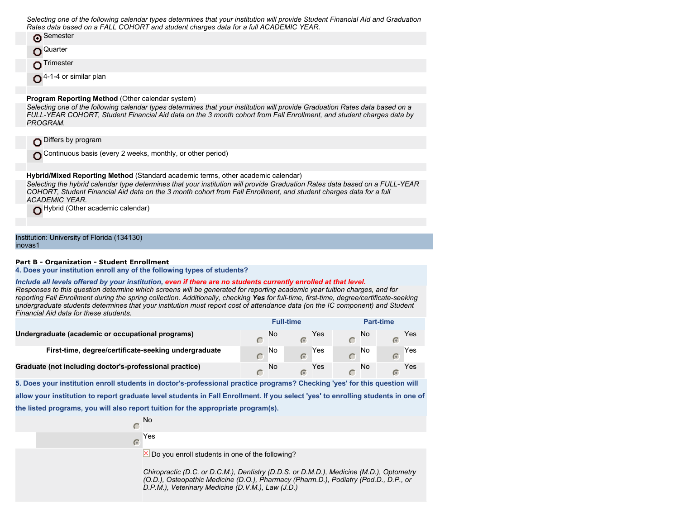*Selecting one of the following calendar types determines that your institution will provide Student Financial Aid and Graduation Rates data based on a FALL COHORT and student charges data for a full ACADEMIC YEAR.*

| Semester    |
|-------------|
| O Quarter   |
| O Trimester |

O<sup>4-1-4</sup> or similar plan

#### **Program Reporting Method** (Other calendar system)

*Selecting one of the following calendar types determines that your institution will provide Graduation Rates data based on a FULL-YEAR COHORT, Student Financial Aid data on the 3 month cohort from Fall Enrollment, and student charges data by PROGRAM.*

Differs by program

Continuous basis (every 2 weeks, monthly, or other period)

**Hybrid/Mixed Reporting Method** (Standard academic terms, other academic calendar) *Selecting the hybrid calendar type determines that your institution will provide Graduation Rates data based on a FULL-YEAR COHORT, Student Financial Aid data on the 3 month cohort from Fall Enrollment, and student charges data for a full ACADEMIC YEAR.*

Hybrid (Other academic calendar)

Institution: University of Florida (134130) inovas1

#### **Part B - Organization - Student Enrollment**

**4. Does your institution enroll any of the following types of students?**

#### *Include all levels offered by your institution, even if there are no students currently enrolled at that level.*

*Responses to this question determine which screens will be generated for reporting academic year tuition charges, and for reporting Fall Enrollment during the spring collection. Additionally, checking Yes for full-time, first-time, degree/certificate-seeking undergraduate students determines that your institution must report cost of attendance data (on the IC component) and Student Financial Aid data for these students.*

|                                                         |    | <b>Full-time</b> |     |    | Part-time |     |
|---------------------------------------------------------|----|------------------|-----|----|-----------|-----|
| Undergraduate (academic or occupational programs)       | No |                  | Yes | No |           | Yes |
| First-time, degree/certificate-seeking undergraduate    | No |                  | Yes | No |           | Yes |
| Graduate (not including doctor's-professional practice) | No |                  | Yes | No |           | Yes |

**5. Does your institution enroll students in doctor's-professional practice programs? Checking 'yes' for this question will**

**allow your institution to report graduate level students in Fall Enrollment. If you select 'yes' to enrolling students in one of the listed programs, you will also report tuition for the appropriate program(s).**

> No  $\subset$

Yes  $\sqrt{a}$ 

 $\times$  Do you enroll students in one of the following?

*Chiropractic (D.C. or D.C.M.), Dentistry (D.D.S. or D.M.D.), Medicine (M.D.), Optometry (O.D.), Osteopathic Medicine (D.O.), Pharmacy (Pharm.D.), Podiatry (Pod.D., D.P., or D.P.M.), Veterinary Medicine (D.V.M.), Law (J.D.)*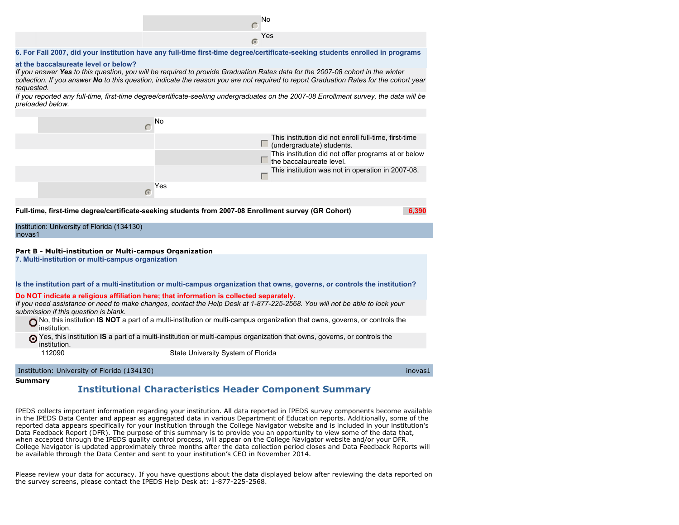

#### **6. For Fall 2007, did your institution have any full-time first-time degree/certificate-seeking students enrolled in programs**

#### **at the baccalaureate level or below?**

*If you answer Yes to this question, you will be required to provide Graduation Rates data for the 2007-08 cohort in the winter collection. If you answer No to this question, indicate the reason you are not required to report Graduation Rates for the cohort year requested.*

*If you reported any full-time, first-time degree/certificate-seeking undergraduates on the 2007-08 Enrollment survey, the data will be preloaded below.*



#### **Summary**

# **Institutional Characteristics Header Component Summary**

IPEDS collects important information regarding your institution. All data reported in IPEDS survey components become available in the IPEDS Data Center and appear as aggregated data in various Department of Education reports. Additionally, some of the reported data appears specifically for your institution through the College Navigator website and is included in your institution's Data Feedback Report (DFR). The purpose of this summary is to provide you an opportunity to view some of the data that, when accepted through the IPEDS quality control process, will appear on the College Navigator website and/or your DFR. College Navigator is updated approximately three months after the data collection period closes and Data Feedback Reports will be available through the Data Center and sent to your institution's CEO in November 2014.

Please review your data for accuracy. If you have questions about the data displayed below after reviewing the data reported on the survey screens, please contact the IPEDS Help Desk at: 1-877-225-2568.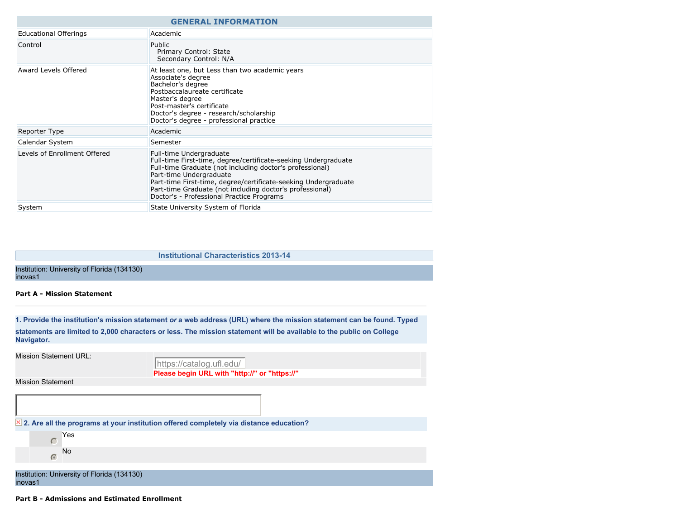|                              | <b>GENERAL INFORMATION</b>                                                                                                                                                                                                                                                                                                                                  |  |  |  |  |  |
|------------------------------|-------------------------------------------------------------------------------------------------------------------------------------------------------------------------------------------------------------------------------------------------------------------------------------------------------------------------------------------------------------|--|--|--|--|--|
| <b>Educational Offerings</b> | Academic                                                                                                                                                                                                                                                                                                                                                    |  |  |  |  |  |
| Control                      | Public<br>Primary Control: State<br>Secondary Control: N/A                                                                                                                                                                                                                                                                                                  |  |  |  |  |  |
| Award Levels Offered         | At least one, but Less than two academic years<br>Associate's degree<br>Bachelor's degree<br>Postbaccalaureate certificate<br>Master's degree<br>Post-master's certificate<br>Doctor's degree - research/scholarship<br>Doctor's degree - professional practice                                                                                             |  |  |  |  |  |
| <b>Reporter Type</b>         | Academic                                                                                                                                                                                                                                                                                                                                                    |  |  |  |  |  |
| Calendar System              | Semester                                                                                                                                                                                                                                                                                                                                                    |  |  |  |  |  |
| Levels of Enrollment Offered | Full-time Undergraduate<br>Full-time First-time, degree/certificate-seeking Undergraduate<br>Full-time Graduate (not including doctor's professional)<br>Part-time Undergraduate<br>Part-time First-time, degree/certificate-seeking Undergraduate<br>Part-time Graduate (not including doctor's professional)<br>Doctor's - Professional Practice Programs |  |  |  |  |  |
| System                       | State University System of Florida                                                                                                                                                                                                                                                                                                                          |  |  |  |  |  |

**Institutional Characteristics 2013-14**

Institution: University of Florida (134130) inovas1

#### **Part A - Mission Statement**

**1. Provide the institution's mission statement** *or* **a web address (URL) where the mission statement can be found. Typed statements are limited to 2,000 characters or less. The mission statement will be available to the public on College Navigator.**

Mission Statement URL:

**Please begin URL with "http://" or "https://"** https://catalog.ufl.edu/

Mission Statement

|         |            | $\times$ 2. Are all the programs at your institution offered completely via distance education? |  |
|---------|------------|-------------------------------------------------------------------------------------------------|--|
|         |            | Yes                                                                                             |  |
|         | $\sqrt{2}$ | No                                                                                              |  |
|         |            |                                                                                                 |  |
| inovas1 |            | Institution: University of Florida (134130)                                                     |  |

#### **Part B - Admissions and Estimated Enrollment**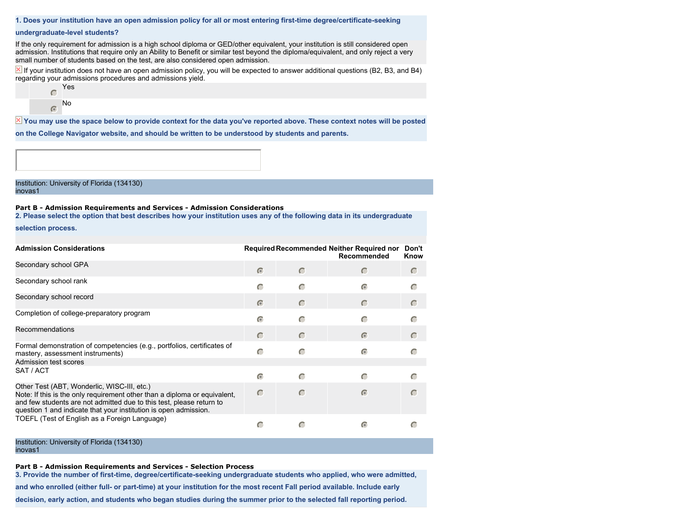#### **1. Does your institution have an open admission policy for all or most entering first-time degree/certificate-seeking**

#### **undergraduate-level students?**

If the only requirement for admission is a high school diploma or GED/other equivalent, your institution is still considered open admission. Institutions that require only an Ability to Benefit or similar test beyond the diploma/equivalent, and only reject a very small number of students based on the test, are also considered open admission.

 $\Sigma$  If your institution does not have an open admission policy, you will be expected to answer additional questions (B2, B3, and B4) regarding your admissions procedures and admissions yield.



 $\overline{X}$  You may use the space below to provide context for the data you've reported above. These context notes will be posted

**on the College Navigator website, and should be written to be understood by students and parents.**

Institution: University of Florida (134130) inovas1

## **Part B - Admission Requirements and Services - Admission Considerations**

**2. Please select the option that best describes how your institution uses any of the following data in its undergraduate**

**selection process.**

| <b>Admission Considerations</b>                                                                                                                                                                                                                                      |            |           | Required Recommended Neither Required nor<br>Recommended | Don't<br>Know |
|----------------------------------------------------------------------------------------------------------------------------------------------------------------------------------------------------------------------------------------------------------------------|------------|-----------|----------------------------------------------------------|---------------|
| Secondary school GPA                                                                                                                                                                                                                                                 | $\epsilon$ | $\subset$ |                                                          |               |
| Secondary school rank                                                                                                                                                                                                                                                | $\subset$  | $\subset$ | $\epsilon$                                               |               |
| Secondary school record                                                                                                                                                                                                                                              | $\subset$  | $\subset$ | $\subset$                                                |               |
| Completion of college-preparatory program                                                                                                                                                                                                                            | $\sqrt{2}$ | C         |                                                          |               |
| Recommendations                                                                                                                                                                                                                                                      | $\subset$  | $\subset$ | $\sigma$                                                 |               |
| Formal demonstration of competencies (e.g., portfolios, certificates of<br>mastery, assessment instruments)                                                                                                                                                          |            | C         | G                                                        |               |
| Admission test scores                                                                                                                                                                                                                                                |            |           |                                                          |               |
| SAT / ACT                                                                                                                                                                                                                                                            | $\bullet$  | $\subset$ |                                                          |               |
| Other Test (ABT, Wonderlic, WISC-III, etc.)<br>Note: If this is the only requirement other than a diploma or equivalent,<br>and few students are not admitted due to this test, please return to<br>question 1 and indicate that your institution is open admission. | $\subset$  | $\subset$ | $\subset$                                                |               |
| TOEFL (Test of English as a Foreign Language)                                                                                                                                                                                                                        |            | C         | $\subset$                                                |               |

Institution: University of Florida (134130) inovas1

**Part B - Admission Requirements and Services - Selection Process**

**3. Provide the number of first-time, degree/certificate-seeking undergraduate students who applied, who were admitted,**

**and who enrolled (either full- or part-time) at your institution for the most recent Fall period available. Include early**

**decision, early action, and students who began studies during the summer prior to the selected fall reporting period.**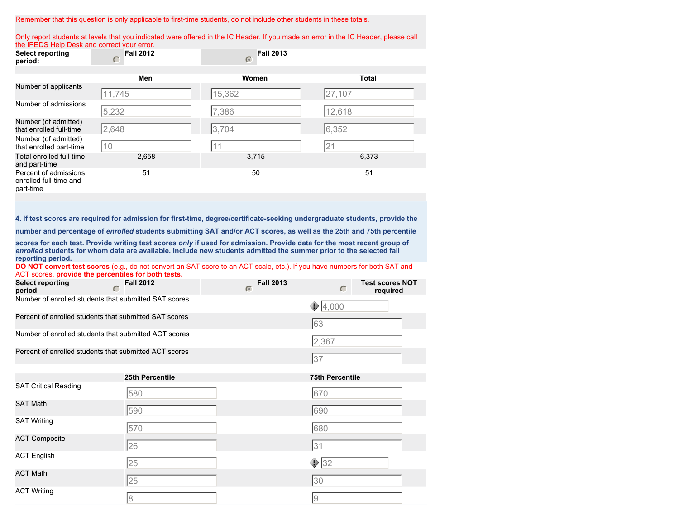#### Remember that this question is only applicable to first-time students, do not include other students in these totals.

Only report students at levels that you indicated were offered in the IC Header. If you made an error in the IC Header, please call the IPEDS Help Desk and correct your error.

| $\cdots$ $\cdots$ $\cdots$ $\cdots$ $\cdots$ $\cdots$ $\cdots$ $\cdots$ $\cdots$ $\cdots$ $\cdots$ $\cdots$ $\cdots$ $\cdots$ $\cdots$ $\cdots$<br><b>Select reporting</b><br>period: | <b>Fall 2012</b><br>C | <b>Fall 2013</b><br>$\sqrt{2}$ |              |
|---------------------------------------------------------------------------------------------------------------------------------------------------------------------------------------|-----------------------|--------------------------------|--------------|
|                                                                                                                                                                                       |                       |                                |              |
|                                                                                                                                                                                       | Men                   | Women                          | <b>Total</b> |
| Number of applicants                                                                                                                                                                  | 11,745                | 15,362                         | 27,107       |
| Number of admissions                                                                                                                                                                  | 5,232                 | 7,386                          | 12,618       |
| Number (of admitted)<br>that enrolled full-time                                                                                                                                       | 2,648                 | 3,704                          | 6,352        |
| Number (of admitted)<br>that enrolled part-time                                                                                                                                       | 10                    | 11                             | 21           |
| Total enrolled full-time<br>and part-time                                                                                                                                             | 2,658                 | 3,715                          | 6,373        |
| Percent of admissions<br>enrolled full-time and<br>part-time                                                                                                                          | 51                    | 50                             | 51           |

**4. If test scores are required for admission for first-time, degree/certificate-seeking undergraduate students, provide the**

**number and percentage of** *enrolled* **students submitting SAT and/or ACT scores, as well as the 25th and 75th percentile**

**scores for each test. Provide writing test scores** *only* **if used for admission. Provide data for the most recent group of** *enrolled* **students for whom data are available. Include new students admitted the summer prior to the selected fall reporting period.**

**DO NOT convert test scores** (e.g., do not convert an SAT score to an ACT scale, etc.). If you have numbers for both SAT and ACT scores, **provide the percentiles for both tests.**

| <b>Select reporting</b><br>period | <b>Fall 2012</b>                                       | <b>Fall 2013</b> | <b>Test scores NOT</b><br>required |
|-----------------------------------|--------------------------------------------------------|------------------|------------------------------------|
|                                   | Number of enrolled students that submitted SAT scores  |                  | $\bigcirc$ 4,000                   |
|                                   | Percent of enrolled students that submitted SAT scores |                  | 63                                 |
|                                   | Number of enrolled students that submitted ACT scores  |                  | 2,367                              |
|                                   | Percent of enrolled students that submitted ACT scores |                  |                                    |

|                             | 25th Percentile | <b>75th Percentile</b> |
|-----------------------------|-----------------|------------------------|
| <b>SAT Critical Reading</b> | 580             | 670                    |
| <b>SAT Math</b>             | 590             | 690                    |
| <b>SAT Writing</b>          | 570             | 680                    |
| <b>ACT Composite</b>        | 26              | 31                     |
| <b>ACT English</b>          | 25              | $\bigcirc$ 32          |
| <b>ACT Math</b>             | 25              | 30                     |
| <b>ACT Writing</b>          | 8               | 19                     |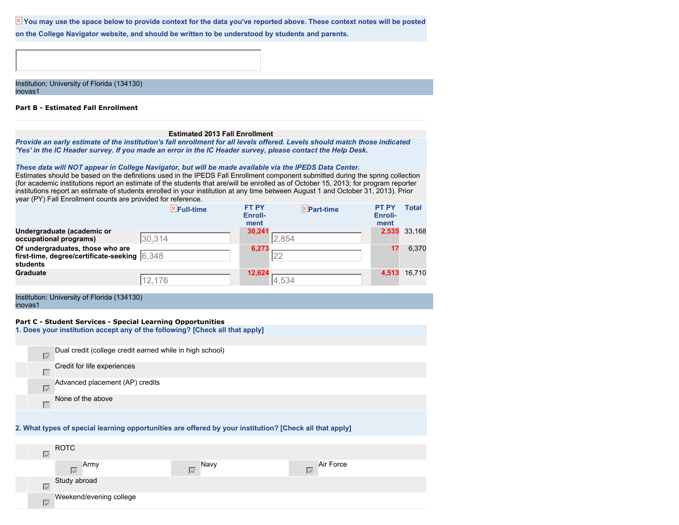X You may use the space below to provide context for the data you've reported above. These context notes will be posted

**on the College Navigator website, and should be written to be understood by students and parents.**

Institution: University of Florida (134130) inovas1

#### **Part B - Estimated Fall Enrollment**

# **Estimated 2013 Fall Enrollment**

*Provide an early estimate of the institution's fall enrollment for all levels offered. Levels should match those indicated 'Yes' in the IC Header survey. If you made an error in the IC Header survey, please contact the Help Desk.*

#### *These data will NOT appear in College Navigator, but will be made available via the IPEDS Data Center.*

Estimates should be based on the definitions used in the IPEDS Fall Enrollment component submitted during the spring collection (for academic institutions report an estimate of the students that are/will be enrolled as of October 15, 2013; for program reporter institutions report an estimate of students enrolled in your institution at any time between August 1 and October 31, 2013). Prior year (PY) Fall Enrollment counts are provided for reference.

|                                                                                              | $X$ Full-time | <b>FT PY</b><br>Enroll-<br>ment | $\times$ Part-time | <b>PT PY</b><br>Enroll-<br>ment | <b>Total</b> |
|----------------------------------------------------------------------------------------------|---------------|---------------------------------|--------------------|---------------------------------|--------------|
| Undergraduate (academic or<br>occupational programs)                                         | 30,314        | 30.241<br>2,854                 |                    | 2,535                           | 33,168       |
| Of undergraduates, those who are<br>first-time, degree/certificate-seeking 6.348<br>students |               | 6,273                           |                    | 17                              | 6,370        |
| <b>Graduate</b>                                                                              | 12,176        | 12,624<br>4,534                 |                    | 4.513                           | 16.710       |

Institution: University of Florida (134130) inovas1

Weekend/evening college

 $\overline{\vee}$ 

#### **Part C - Student Services - Special Learning Opportunities**

|  |  |  |  | 1. Does your institution accept any of the following? [Check all that apply] |
|--|--|--|--|------------------------------------------------------------------------------|
|--|--|--|--|------------------------------------------------------------------------------|

| $\overline{\vee}$                | Dual credit (college credit earned while in high school) |                                                                                                         |                                     |  |
|----------------------------------|----------------------------------------------------------|---------------------------------------------------------------------------------------------------------|-------------------------------------|--|
| г                                | Credit for life experiences                              |                                                                                                         |                                     |  |
| $\overline{\vee}$                | Advanced placement (AP) credits                          |                                                                                                         |                                     |  |
| г                                | None of the above                                        |                                                                                                         |                                     |  |
|                                  |                                                          |                                                                                                         |                                     |  |
|                                  |                                                          | 2. What types of special learning opportunities are offered by your institution? [Check all that apply] |                                     |  |
|                                  |                                                          |                                                                                                         |                                     |  |
| <b>ROTC</b><br>$\overline{\vee}$ |                                                          |                                                                                                         |                                     |  |
|                                  | Army<br>$\overline{\vee}$                                | Navy                                                                                                    | Air Force<br>$\mathsf{I}\mathsf{V}$ |  |
| $\overline{\vee}$                | Study abroad                                             |                                                                                                         |                                     |  |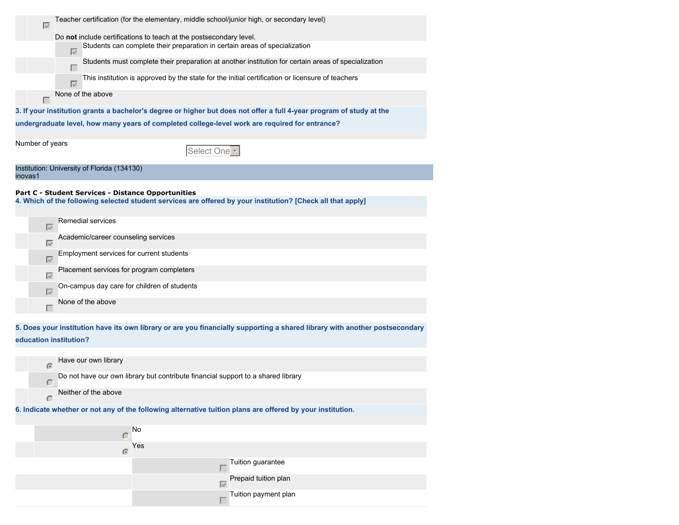| Teacher certification (for the elementary, middle school/junior high, or secondary level)<br>$\overline{\vee}$        |
|-----------------------------------------------------------------------------------------------------------------------|
| Do not include certifications to teach at the postsecondary level.                                                    |
| Students can complete their preparation in certain areas of specialization<br>$\overline{\vee}$                       |
| Students must complete their preparation at another institution for certain areas of specialization                   |
| This institution is approved by the state for the initial certification or licensure of teachers<br>$\overline{\vee}$ |
| None of the above                                                                                                     |
| 3. If your institution grants a bachelor's degree or higher but does not offer a full 4-year program of study at the  |
| undergraduate level, how many years of completed college-level work are required for entrance?                        |
| Number of years<br>Select One <sup>-</sup>                                                                            |
| Institution: University of Florida (134130)<br>inovas1                                                                |

#### **Part C - Student Services - Distance Opportunities**

**4. Which of the following selected student services are offered by your institution? [Check all that apply]**

| $\vert \vee$      | Remedial services                           |
|-------------------|---------------------------------------------|
| Ⅳ                 | Academic/career counseling services         |
| $\overline{\vee}$ | Employment services for current students    |
| ⊽                 | Placement services for program completers   |
| $\overline{\vee}$ | On-campus day care for children of students |
|                   | None of the above                           |
|                   |                                             |

**5. Does your institution have its own library or are you financially supporting a shared library with another postsecondary**

 $\Box$ 

# **education institution?**



Tuition payment plan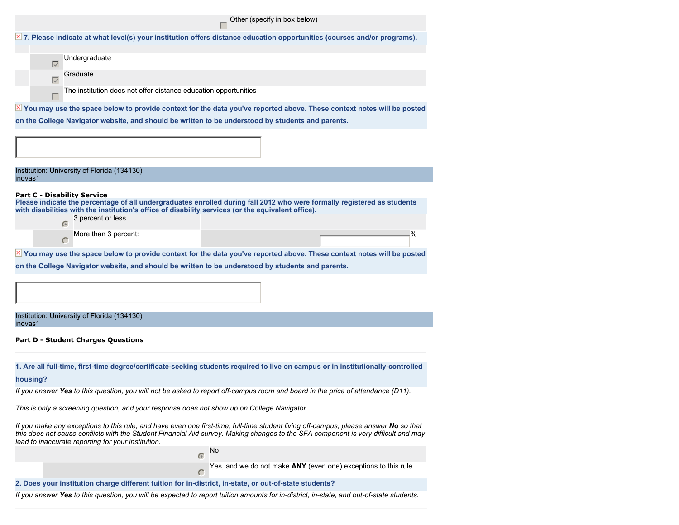|  |               |                                                                                                                                  | Other (specify in box below) |  |
|--|---------------|----------------------------------------------------------------------------------------------------------------------------------|------------------------------|--|
|  |               | $\times$ 7. Please indicate at what level(s) your institution offers distance education opportunities (courses and/or programs). |                              |  |
|  |               |                                                                                                                                  |                              |  |
|  | Undergraduate |                                                                                                                                  |                              |  |
|  | Graduate      |                                                                                                                                  |                              |  |
|  |               | The institution does not offer distance education opportunities                                                                  |                              |  |
|  |               | X You may use the space below to provide context for the data you've reported above. These context notes will be posted          |                              |  |

**on the College Navigator website, and should be written to be understood by students and parents.**

Institution: University of Florida (134130) inovas1

#### **Part C - Disability Service**

**Please indicate the percentage of all undergraduates enrolled during fall 2012 who were formally registered as students with disabilities with the institution's office of disability services (or the equivalent office).**

|  | 3 percent or less    |  |    |
|--|----------------------|--|----|
|  | More than 3 percent: |  | 0/ |

 $\overline{X}$  You may use the space below to provide context for the data you've reported above. These context notes will be posted

**on the College Navigator website, and should be written to be understood by students and parents.**

Institution: University of Florida (134130) inovas1

**Part D - Student Charges Questions**

**1. Are all full-time, first-time degree/certificate-seeking students required to live on campus or in institutionally-controlled**

#### **housing?**

*If you answer Yes to this question, you will not be asked to report off-campus room and board in the price of attendance (D11).*

*This is only a screening question, and your response does not show up on College Navigator.*

*If you make any exceptions to this rule, and have even one first-time, full-time student living off-campus, please answer No so that this does not cause conflicts with the Student Financial Aid survey. Making changes to the SFA component is very difficult and may lead to inaccurate reporting for your institution.*

No

 $\sqrt{a}$ 

Yes, and we do not make **ANY** (even one) exceptions to this rule

# **2. Does your institution charge different tuition for in-district, in-state, or out-of-state students?**

*If you answer Yes to this question, you will be expected to report tuition amounts for in-district, in-state, and out-of-state students.*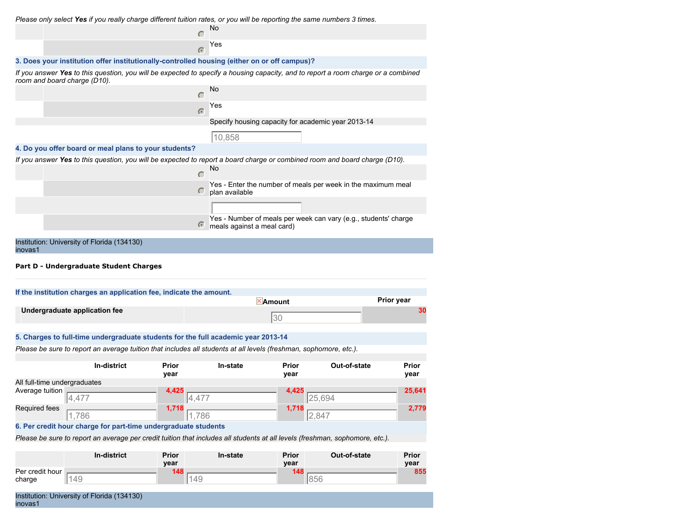*Please only select Yes if you really charge different tuition rates, or you will be reporting the same numbers 3 times.*

| No                                                                                                                                                                |  |
|-------------------------------------------------------------------------------------------------------------------------------------------------------------------|--|
| Yes<br>$\sqrt{2}$                                                                                                                                                 |  |
| 3. Does your institution offer institutionally-controlled housing (either on or off campus)?                                                                      |  |
| If you answer Yes to this question, you will be expected to specify a housing capacity, and to report a room charge or a combined<br>room and board charge (D10). |  |
| No                                                                                                                                                                |  |
| Yes<br>$\sqrt{2}$                                                                                                                                                 |  |
| Specify housing capacity for academic year 2013-14                                                                                                                |  |
| 10,858                                                                                                                                                            |  |
| 4. Do you offer board or meal plans to your students?                                                                                                             |  |
| If you answer Yes to this question, you will be expected to report a board charge or combined room and board charge (D10).                                        |  |
| No                                                                                                                                                                |  |
| Yes - Enter the number of meals per week in the maximum meal<br>plan available                                                                                    |  |
|                                                                                                                                                                   |  |
| Yes - Number of meals per week can vary (e.g., students' charge<br>$\sqrt{2}$<br>meals against a meal card)                                                       |  |
| Institution: University of Florida (134130)<br>inovas1                                                                                                            |  |

**Part D - Undergraduate Student Charges**

| If the institution charges an application fee, indicate the amount. |                   |
|---------------------------------------------------------------------|-------------------|
| <b>×Amount</b>                                                      | <b>Prior year</b> |
| 130                                                                 |                   |
|                                                                     |                   |

# **5. Charges to full-time undergraduate students for the full academic year 2013-14**

*Please be sure to report an average tuition that includes all students at all levels (freshman, sophomore, etc.).*

|                                      | In-district | Prior<br>year | In-state | Prior<br>year | Out-of-state | Prior<br>year |
|--------------------------------------|-------------|---------------|----------|---------------|--------------|---------------|
| All full-time undergraduates         |             |               |          |               |              |               |
| Average tuition $\frac{1}{\sqrt{4}}$ |             | 4,425         |          | 4,425         |              | 25,641        |
|                                      | 4,477       |               | 44,477   |               | 25,694       |               |
| Required fees                        |             | 1.718         |          | 1.718         |              | 2,779         |
|                                      | .786        |               | .,786    |               | 2,847        |               |

**6. Per credit hour charge for part-time undergraduate students**

*Please be sure to report an average per credit tuition that includes all students at all levels (freshman, sophomore, etc.).*

|                 | In-district | Prior<br>year | In-state | <b>Prior</b><br>year | Out-of-state | Prior<br>year |
|-----------------|-------------|---------------|----------|----------------------|--------------|---------------|
| Per credit hour |             | 1 1 8         |          | 1 1 2                |              | 855           |
| charge          | 49          |               | 49       |                      | 856          |               |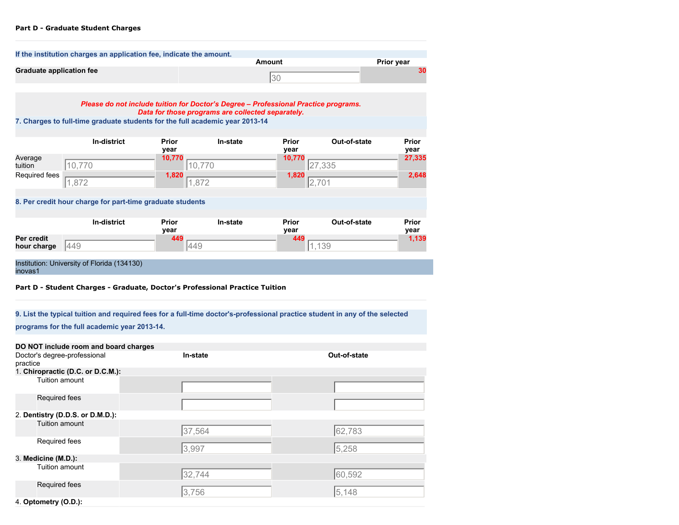# **Part D - Graduate Student Charges**

|                           | If the institution charges an application fee, indicate the amount.                                                         |                         |                                                                                                                                          | <b>Amount</b>                  |                        |                         |
|---------------------------|-----------------------------------------------------------------------------------------------------------------------------|-------------------------|------------------------------------------------------------------------------------------------------------------------------------------|--------------------------------|------------------------|-------------------------|
|                           | <b>Graduate application fee</b>                                                                                             |                         | 30                                                                                                                                       |                                |                        | Prior year<br>30        |
|                           |                                                                                                                             |                         | Please do not include tuition for Doctor's Degree - Professional Practice programs.<br>Data for those programs are collected separately. |                                |                        |                         |
|                           | 7. Charges to full-time graduate students for the full academic year 2013-14                                                |                         |                                                                                                                                          |                                |                        |                         |
| Average<br>tuition        | In-district<br>10,770                                                                                                       | Prior<br>year<br>10,770 | In-state<br>10,770                                                                                                                       | <b>Prior</b><br>year<br>10,770 | Out-of-state<br>27,335 | Prior<br>year<br>27,335 |
| Required fees             | 1,872                                                                                                                       | 1,820                   | 1,872                                                                                                                                    | 1,820                          | 2,701                  | 2,648                   |
|                           | 8. Per credit hour charge for part-time graduate students                                                                   |                         |                                                                                                                                          |                                |                        |                         |
|                           | In-district                                                                                                                 | Prior<br>year           | In-state                                                                                                                                 | <b>Prior</b><br>year           | Out-of-state           | Prior<br>year           |
| Per credit<br>hour charge | 449                                                                                                                         | 449<br>449              |                                                                                                                                          | 449                            | 1,139                  | 1,139                   |
| inovas1                   | Institution: University of Florida (134130)<br>Part D - Student Charges - Graduate, Doctor's Professional Practice Tuition  |                         |                                                                                                                                          |                                |                        |                         |
|                           | 9. List the typical tuition and required fees for a full-time doctor's-professional practice student in any of the selected |                         |                                                                                                                                          |                                |                        |                         |
|                           | programs for the full academic year 2013-14.                                                                                |                         |                                                                                                                                          |                                |                        |                         |
| practice                  | DO NOT include room and board charges<br>Doctor's degree-professional                                                       | In-state                |                                                                                                                                          |                                | Out-of-state           |                         |
|                           | 1. Chiropractic (D.C. or D.C.M.):<br>Tuition amount                                                                         |                         |                                                                                                                                          |                                |                        |                         |
|                           | Required fees                                                                                                               |                         |                                                                                                                                          |                                |                        |                         |
|                           | 2. Dentistry (D.D.S. or D.M.D.):<br>Tuition amount                                                                          |                         |                                                                                                                                          |                                |                        |                         |
|                           |                                                                                                                             | 37,564                  |                                                                                                                                          |                                | 62.783                 |                         |
|                           | Required fees                                                                                                               | 3,997                   |                                                                                                                                          |                                | 5,258                  |                         |
| 3. Medicine (M.D.):       |                                                                                                                             |                         |                                                                                                                                          |                                |                        |                         |
|                           | Tuition amount                                                                                                              | 32,744                  |                                                                                                                                          |                                | 60,592                 |                         |
|                           | Required fees                                                                                                               | 3,756                   |                                                                                                                                          |                                | 5,148                  |                         |
| 4. Optometry (O.D.):      |                                                                                                                             |                         |                                                                                                                                          |                                |                        |                         |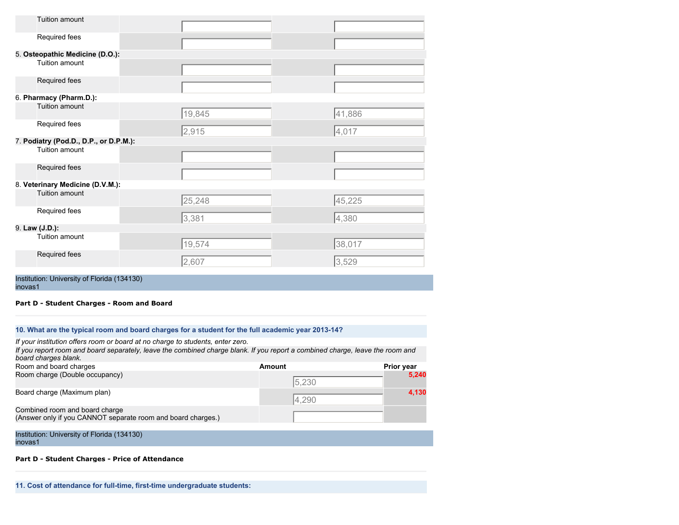| Tuition amount                         |        |        |
|----------------------------------------|--------|--------|
| Required fees                          |        |        |
| 5. Osteopathic Medicine (D.O.):        |        |        |
| Tuition amount                         |        |        |
| Required fees                          |        |        |
| 6. Pharmacy (Pharm.D.):                |        |        |
| Tuition amount                         | 19,845 | 41,886 |
| Required fees                          | 2,915  | 4,017  |
| 7. Podiatry (Pod.D., D.P., or D.P.M.): |        |        |
| Tuition amount                         |        |        |
| Required fees                          |        |        |
| 8. Veterinary Medicine (D.V.M.):       |        |        |
| Tuition amount                         | 25,248 | 45,225 |
| Required fees                          | 3,381  | 4,380  |
| 9. Law (J.D.):                         |        |        |
| Tuition amount                         | 19,574 | 38,017 |
| Required fees                          | 2,607  | 3,529  |
|                                        |        |        |

Institution: University of Florida (134130) inovas1

**Part D - Student Charges - Room and Board**

| 10. What are the typical room and board charges for a student for the full academic year 2013-14? |  |
|---------------------------------------------------------------------------------------------------|--|
|                                                                                                   |  |

| If your institution offers room or board at no charge to students, enter zero.                                                                        |        |                   |
|-------------------------------------------------------------------------------------------------------------------------------------------------------|--------|-------------------|
| If you report room and board separately, leave the combined charge blank. If you report a combined charge, leave the room and<br>board charges blank. |        |                   |
| Room and board charges                                                                                                                                | Amount | <b>Prior year</b> |
| Room charge (Double occupancy)                                                                                                                        | 5,230  | 5,240             |
| Board charge (Maximum plan)                                                                                                                           | 4.290  | 4,130             |
| Combined room and board charge<br>(Answer only if you CANNOT separate room and board charges.)                                                        |        |                   |

Institution: University of Florida (134130) inovas1

# **Part D - Student Charges - Price of Attendance**

**11. Cost of attendance for full-time, first-time undergraduate students:**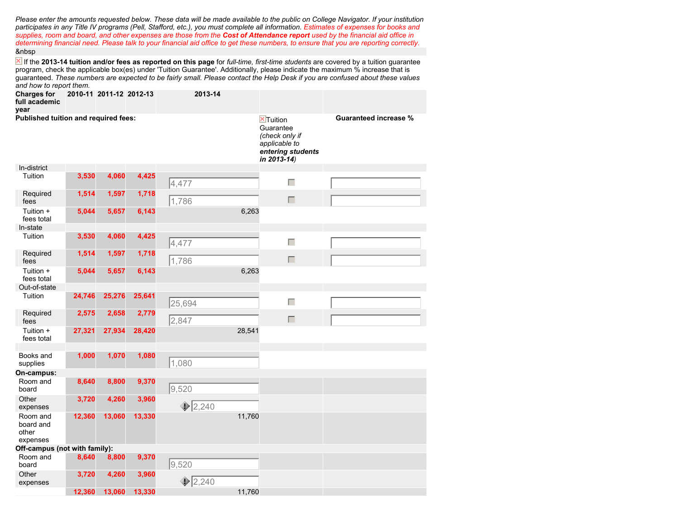*Please enter the amounts requested below. These data will be made available to the public on College Navigator. If your institution participates in any Title IV programs (Pell, Stafford, etc.), you must complete all information. Estimates of expenses for books and supplies, room and board, and other expenses are those from the Cost of Attendance report used by the financial aid office in determining financial need. Please talk to your financial aid office to get these numbers, to ensure that you are reporting correctly.* &nbsp

 If the **2013-14 tuition and/or fees as reported on this page** for *full-time, first-time students* are covered by a tuition guarantee program, check the applicable box(es) under 'Tuition Guarantee'. Additionally, please indicate the maximum % increase that is guaranteed. *These numbers are expected to be fairly small. Please contact the Help Desk if you are confused about these values and how to report them.*

| <b>Charges for</b><br>full academic<br>year |        | 2010-11 2011-12 2012-13 |        | 2013-14        |                                                                                                                          |                              |
|---------------------------------------------|--------|-------------------------|--------|----------------|--------------------------------------------------------------------------------------------------------------------------|------------------------------|
| Published tuition and required fees:        |        |                         |        |                | $\overline{\mathbb{Z}}$ Tuition<br>Guarantee<br>(check only if<br>applicable to<br>entering students<br>in $2013 - 14$ ) | <b>Guaranteed increase %</b> |
| In-district                                 |        |                         |        |                |                                                                                                                          |                              |
| Tuition                                     | 3,530  | 4,060                   | 4,425  | 4,477          | Г                                                                                                                        |                              |
| Required<br>fees                            | 1,514  | 1,597                   | 1,718  | 1,786          | $\Box$                                                                                                                   |                              |
| Tuition +<br>fees total                     | 5,044  | 5,657                   | 6,143  | 6,263          |                                                                                                                          |                              |
| In-state                                    |        |                         |        |                |                                                                                                                          |                              |
| Tuition                                     | 3,530  | 4,060                   | 4,425  | 4,477          | Г                                                                                                                        |                              |
| Required<br>fees                            | 1,514  | 1,597                   | 1,718  | 1,786          | $\Box$                                                                                                                   |                              |
| Tuition +<br>fees total                     | 5,044  | 5,657                   | 6,143  | 6,263          |                                                                                                                          |                              |
| Out-of-state                                |        |                         |        |                |                                                                                                                          |                              |
| Tuition                                     | 24,746 | 25,276                  | 25,641 | 25,694         | Γ                                                                                                                        |                              |
| Required<br>fees                            | 2,575  | 2,658                   | 2,779  | 2,847          | П                                                                                                                        |                              |
| Tuition +<br>fees total                     | 27,321 | 27,934                  | 28,420 | 28,541         |                                                                                                                          |                              |
| Books and<br>supplies                       | 1,000  | 1,070                   | 1,080  | 1,080          |                                                                                                                          |                              |
| On-campus:                                  |        |                         |        |                |                                                                                                                          |                              |
| Room and<br>board                           | 8,640  | 8,800                   | 9,370  | 9,520          |                                                                                                                          |                              |
| Other<br>expenses                           | 3,720  | 4,260                   | 3,960  | $\oint 2,240$  |                                                                                                                          |                              |
| Room and<br>board and<br>other<br>expenses  | 12,360 | 13,060                  | 13,330 | 11,760         |                                                                                                                          |                              |
| Off-campus (not with family):               |        |                         |        |                |                                                                                                                          |                              |
| Room and<br>board                           | 8,640  | 8,800                   | 9,370  | 9,520          |                                                                                                                          |                              |
| Other<br>expenses                           | 3,720  | 4,260                   | 3,960  | $\sqrt{2,240}$ |                                                                                                                          |                              |
|                                             | 12.360 | 13.060                  | 13,330 | 11,760         |                                                                                                                          |                              |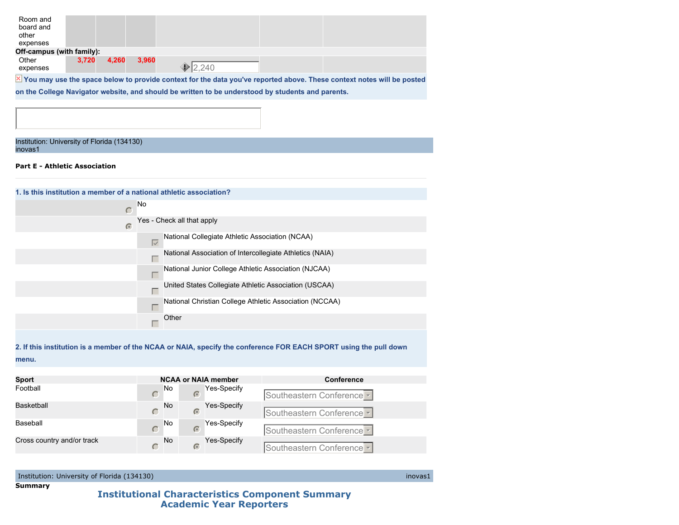| 3.720 | 4.260 | 3.960                     |        |                                                                                                                         |
|-------|-------|---------------------------|--------|-------------------------------------------------------------------------------------------------------------------------|
|       |       |                           | 12.240 |                                                                                                                         |
|       |       |                           |        |                                                                                                                         |
|       |       | Off-campus (with family): |        | X You may use the space below to provide context for the data you've reported above. These context notes will be posted |

**on the College Navigator website, and should be written to be understood by students and parents.**

# Institution: University of Florida (134130) inovas1

# **Part E - Athletic Association**

| 1. Is this institution a member of a national athletic association? |                                                                      |  |  |  |  |
|---------------------------------------------------------------------|----------------------------------------------------------------------|--|--|--|--|
| No<br>$\subset$                                                     |                                                                      |  |  |  |  |
| $\sqrt{2}$                                                          | Yes - Check all that apply                                           |  |  |  |  |
|                                                                     | National Collegiate Athletic Association (NCAA)<br>$\overline{\vee}$ |  |  |  |  |
|                                                                     | National Association of Intercollegiate Athletics (NAIA)<br>Γ        |  |  |  |  |
|                                                                     | National Junior College Athletic Association (NJCAA)<br>Г            |  |  |  |  |
|                                                                     | United States Collegiate Athletic Association (USCAA)<br>г           |  |  |  |  |
|                                                                     | National Christian College Athletic Association (NCCAA)<br>Г         |  |  |  |  |
|                                                                     | Other                                                                |  |  |  |  |
|                                                                     |                                                                      |  |  |  |  |

**2. If this institution is a member of the NCAA or NAIA, specify the conference FOR EACH SPORT using the pull down menu.**

| <b>Sport</b>               | <b>NCAA or NAIA member</b> |                                  | <b>Conference</b>         |  |  |
|----------------------------|----------------------------|----------------------------------|---------------------------|--|--|
| Football                   | <b>No</b>                  | Yes-Specify<br>$\sqrt{2}$        | Southeastern Conference   |  |  |
| Basketball                 | <b>No</b>                  | <b>Yes-Specify</b><br>$\sqrt{2}$ | Southeastern Conference   |  |  |
| Baseball                   | <b>No</b>                  | Yes-Specify<br>$\sqrt{2}$        | Southeastern Conference - |  |  |
| Cross country and/or track | <b>No</b>                  | <b>Yes-Specify</b><br>$\sqrt{2}$ | Southeastern Conference   |  |  |

Institution: University of Florida (134130) inovas1

**Summary**

# **Institutional Characteristics Component Summary Academic Year Reporters**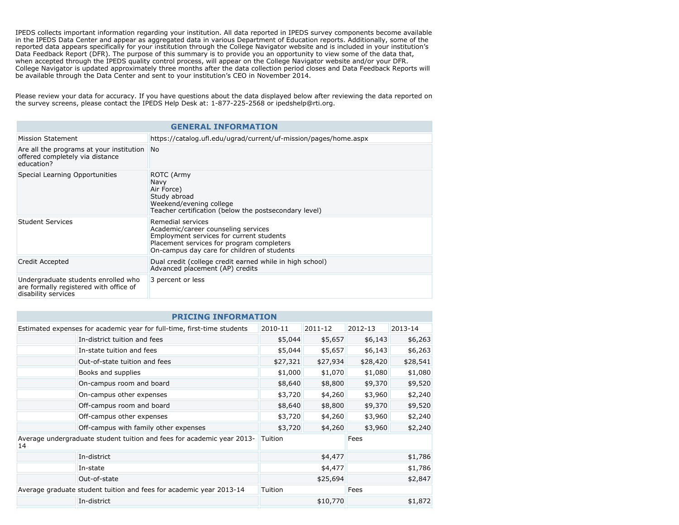IPEDS collects important information regarding your institution. All data reported in IPEDS survey components become available in the IPEDS Data Center and appear as aggregated data in various Department of Education reports. Additionally, some of the reported data appears specifically for your institution through the College Navigator website and is included in your institution's Data Feedback Report (DFR). The purpose of this summary is to provide you an opportunity to view some of the data that, when accepted through the IPEDS quality control process, will appear on the College Navigator website and/or your DFR. College Navigator is updated approximately three months after the data collection period closes and Data Feedback Reports will be available through the Data Center and sent to your institution's CEO in November 2014.

Please review your data for accuracy. If you have questions about the data displayed below after reviewing the data reported on the survey screens, please contact the IPEDS Help Desk at: 1-877-225-2568 or ipedshelp@rti.org.

| <b>GENERAL INFORMATION</b>                                                                           |                                                                                                                                                                                                  |  |  |  |
|------------------------------------------------------------------------------------------------------|--------------------------------------------------------------------------------------------------------------------------------------------------------------------------------------------------|--|--|--|
| Mission Statement                                                                                    | https://catalog.ufl.edu/ugrad/current/uf-mission/pages/home.aspx                                                                                                                                 |  |  |  |
| Are all the programs at your institution<br>offered completely via distance<br>education?            | <b>No</b>                                                                                                                                                                                        |  |  |  |
| Special Learning Opportunities                                                                       | ROTC (Army<br><b>Navy</b><br>Air Force)<br>Study abroad<br>Weekend/evening college<br>Teacher certification (below the postsecondary level)                                                      |  |  |  |
| <b>Student Services</b>                                                                              | Remedial services<br>Academic/career counseling services<br>Employment services for current students<br>Placement services for program completers<br>On-campus day care for children of students |  |  |  |
| Credit Accepted                                                                                      | Dual credit (college credit earned while in high school)<br>Advanced placement (AP) credits                                                                                                      |  |  |  |
| Undergraduate students enrolled who<br>are formally registered with office of<br>disability services | 3 percent or less                                                                                                                                                                                |  |  |  |

| <b>PRICING INFORMATION</b>                                                         |                               |          |                    |                    |          |  |  |
|------------------------------------------------------------------------------------|-------------------------------|----------|--------------------|--------------------|----------|--|--|
| Estimated expenses for academic year for full-time, first-time students<br>2010-11 |                               |          | 2011-12            | 2012-13            | 2013-14  |  |  |
|                                                                                    | In-district tuition and fees  | \$5,044  | \$5,657            | \$6,143            | \$6,263  |  |  |
|                                                                                    | In-state tuition and fees     | \$5,044  | \$5,657            | \$6,143            | \$6,263  |  |  |
|                                                                                    | Out-of-state tuition and fees | \$27,321 | \$27,934           | \$28,420           | \$28,541 |  |  |
|                                                                                    | Books and supplies            | \$1,000  | \$1,070            | \$1,080            | \$1,080  |  |  |
|                                                                                    | On-campus room and board      | \$8,640  | \$8,800            | \$9,370            | \$9,520  |  |  |
|                                                                                    | On-campus other expenses      |          |                    | \$3,960<br>\$4,260 | \$2,240  |  |  |
|                                                                                    | Off-campus room and board     |          | \$8,640<br>\$8,800 | \$9,370            | \$9,520  |  |  |
|                                                                                    | Off-campus other expenses     | \$3,720  | \$4,260            | \$3,960            | \$2,240  |  |  |
| Off-campus with family other expenses                                              | \$3,720                       | \$4,260  | \$3,960            | \$2,240            |          |  |  |
| Average undergraduate student tuition and fees for academic year 2013-<br>14       |                               | Tuition  |                    | Fees               |          |  |  |
| In-district                                                                        |                               | \$4,477  |                    | \$1,786            |          |  |  |
| In-state                                                                           | \$4,477                       |          |                    | \$1,786            |          |  |  |
|                                                                                    | Out-of-state                  |          | \$25,694           |                    | \$2,847  |  |  |
| Average graduate student tuition and fees for academic year 2013-14                |                               | Tuition  |                    | Fees               |          |  |  |
| In-district                                                                        |                               |          | \$10,770           |                    | \$1,872  |  |  |